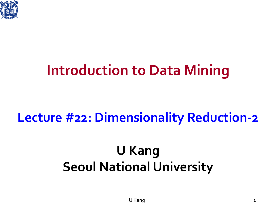

## **Introduction to Data Mining**

### **Lecture #22: Dimensionality Reduction-2**

## **U Kang Seoul National University**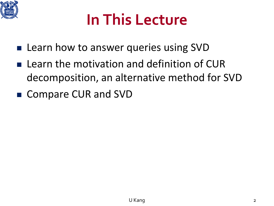

## **In This Lecture**

- **Learn how to answer queries using SVD**
- **Learn the motivation and definition of CUR** decomposition, an alternative method for SVD
- Compare CUR and SVD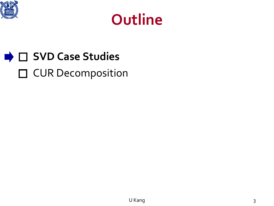



### **■ C** SVD Case Studies □ CUR Decomposition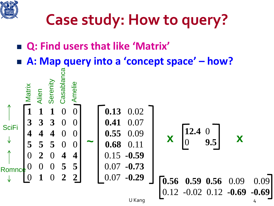

- **Q: Find users that like 'Matrix'**
- **A: Map query into a 'concept space' – how?**

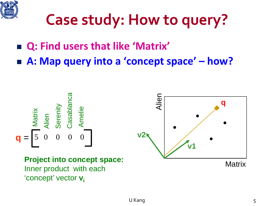

- **Q: Find users that like 'Matrix'**
- **A: Map query into a 'concept space' – how?**

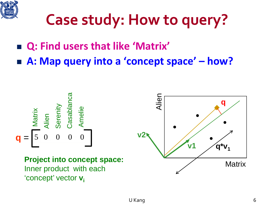

- **Q: Find users that like 'Matrix'**
- **A: Map query into a 'concept space' – how?**

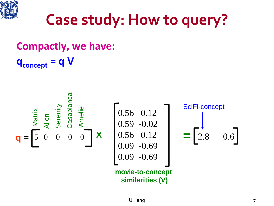

**Compactly, we have:**  $q_{\text{concept}} = q V$ 

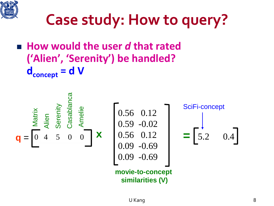

### **How would the user** *d* **that rated ('Alien', 'Serenity') be handled?**  $d_{\text{concept}} = d$  V

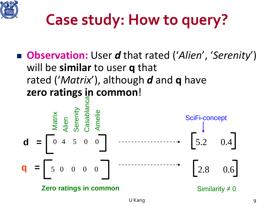

 **Observation:** User *d* that rated ('*Alien*', '*Serenity*') will be **similar** to user **q** that rated ('*Matrix*'), although *d* and **q** have **zero ratings in common**!

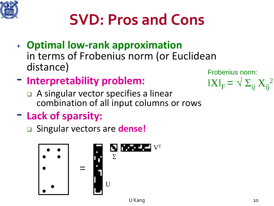# **SVD: Pros and Cons**

- <sup>+</sup> **Optimal low-rank approximation** in terms of Frobenius norm (or Euclidean distance)
- **Interpretability problem:**
	- A singular vector specifies a linear combination of all input columns or rows
- **Lack of sparsity:**

Singular vectors are **dense!**



Frobenius norm:  $\|X\|_{F} = \sqrt{\sum_{ij} X_{ij}^{2}}$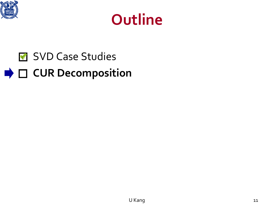



### SVD Case Studies **▶ □ CUR Decomposition**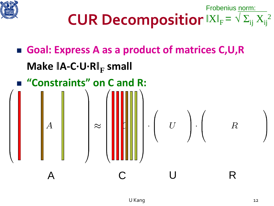

```
CUR Decompositior |XI_F| = \sqrt{\sum_{ij} X_{ij}^2}Frobenius norm:
```
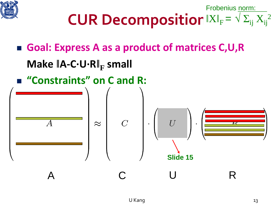

```
CUR Decompositior |XI_F| = \sqrt{\sum_{ij} X_{ij}^2}Frobenius norm:
```
## ■ Goal: Express A as a product of matrices C,U,R **Make ǁA-C·U·Rǁ<sup>F</sup> small "Constraints" on C and R:**  $\bar{U}$  $\overline{C}$  $\approx$  $\overline{\bm{K}}$ **Slide 15** A C U R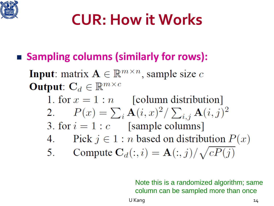

# **CUR: How it Works**

■ Sampling columns (similarly for rows):

**Input:** matrix  $A \in \mathbb{R}^{m \times n}$ , sample size c **Output:**  $C_d \in \mathbb{R}^{m \times c}$ 1. for  $x = 1 : n$  [column distribution] 2.  $P(x) = \sum_i \mathbf{A}(i, x)^2 / \sum_{i, j} \mathbf{A}(i, j)^2$ 3. for  $i = 1 : c$  [sample columns] 4. Pick  $j \in 1 : n$  based on distribution  $P(x)$ 5. Compute  $\mathbf{C}_d(:,i) = \mathbf{A}(:,j) / \sqrt{c P(j)}$ 

> Note this is a randomized algorithm; same column can be sampled more than once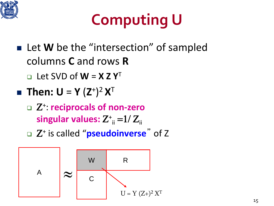

# **Computing U**

- Let **W** be the "intersection" of sampled columns **C** and rows **R**
	- $\Box$  Let SVD of **W** = **X** Z Y<sup>T</sup>
- Then:  $U = Y (Z^+)^2 X^T$ 
	- Ζ+: **reciprocals of non-zero**  s<mark>ingular values:</mark>  $Z^+_{\;\, \text{ii}}$  =1/  $Z_{\text{ii}}$
	- Ζ<sup>+</sup> is called "**pseudoinverse**" of Z

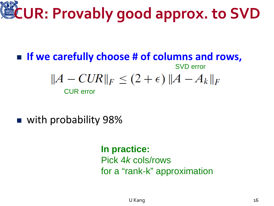# **CUR: Provably good approx. to SVD**

#### **If we carefully choose # of columns and rows,** SVD error  $||A-CUR||_F \le (2+\epsilon) ||A-A_k||_F$ CUR error

■ with probability 98%

#### **In practice:**

Pick 4*k* cols/rows for a "rank-k" approximation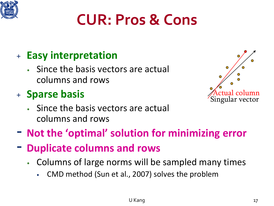

# **CUR: Pros & Cons**

### <sup>+</sup> **Easy interpretation**

Since the basis vectors are actual columns and rows

#### <sup>+</sup> **Sparse basis**

Since the basis vectors are actual columns and rows



- **Not the 'optimal' solution for minimizing error**
- **Duplicate columns and rows**
	- Columns of large norms will be sampled many times
		- CMD method (Sun et al., 2007) solves the problem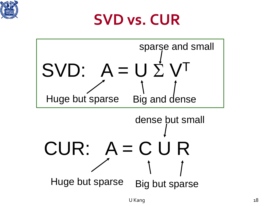

## **SVD vs. CUR**

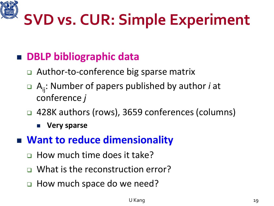

# **SVD vs. CUR: Simple Experiment**

### ■ DBLP bibliographic data

- Author-to-conference big sparse matrix
- Aij: Number of papers published by author *i* at conference *j*
- 428K authors (rows), 3659 conferences (columns)
	- **Very sparse**

#### **Want to reduce dimensionality**

- □ How much time does it take?
- □ What is the reconstruction error?
- **Example 2 How much space do we need?**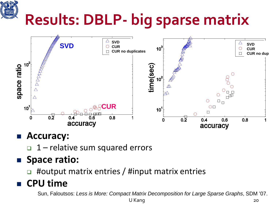# **Results: DBLP- big sparse matrix**



#### **Accuracy:**

 $\Box$  1 – relative sum squared errors

#### **Space ratio:**

#output matrix entries / #input matrix entries

#### **CPU time**

Sun, Faloutsos: *Less is More: Compact Matrix Decomposition for Large Sparse Graphs*, SDM '07.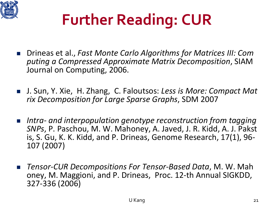

# **Further Reading: CUR**

- Drineas et al., *Fast Monte Carlo Algorithms for Matrices III: Com puting a Compressed Approximate Matrix Decomposition*, SIAM Journal on Computing, 2006.
- J. Sun, Y. Xie, H. Zhang, C. Faloutsos: Less is More: Compact Mat *rix Decomposition for Large Sparse Graphs*, SDM 2007
- *Intra- and interpopulation genotype reconstruction from tagging SNPs*, P. Paschou, M. W. Mahoney, A. Javed, J. R. Kidd, A. J. Pakst is, S. Gu, K. K. Kidd, and P. Drineas, Genome Research, 17(1), 96- 107 (2007)
- *Tensor-CUR Decompositions For Tensor-Based Data*, M. W. Mah oney, M. Maggioni, and P. Drineas, Proc. 12-th Annual SIGKDD, 327-336 (2006)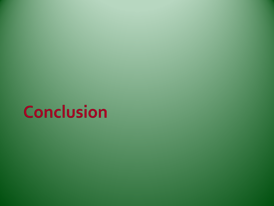# **Conclusion**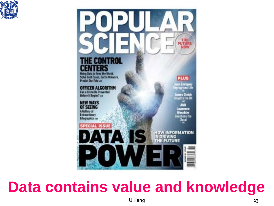



## **Data contains value and knowledge**

U Kang 23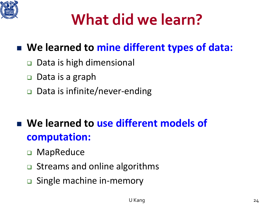

# **What did we learn?**

### **We learned to mine different types of data:**

- **□** Data is high dimensional
- □ Data is a graph
- Data is infinite/never-ending

### **We learned to use different models of computation:**

- □ MapReduce
- **□** Streams and online algorithms
- **□** Single machine in-memory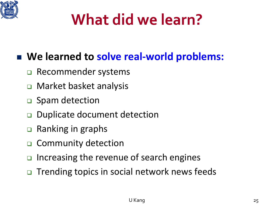

# **What did we learn?**

#### **We learned to solve real-world problems:**

- □ Recommender systems
- Market basket analysis
- □ Spam detection
- Duplicate document detection
- **Q** Ranking in graphs
- □ Community detection
- $\Box$  Increasing the revenue of search engines
- □ Trending topics in social network news feeds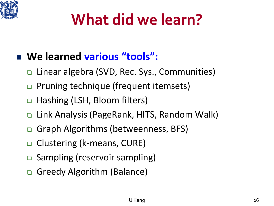

# **What did we learn?**

### **We learned various "tools":**

- Linear algebra (SVD, Rec. Sys., Communities)
- □ Pruning technique (frequent itemsets)
- □ Hashing (LSH, Bloom filters)
- □ Link Analysis (PageRank, HITS, Random Walk)
- **□ Graph Algorithms (betweenness, BFS)**
- □ Clustering (k-means, CURE)
- **□** Sampling (reservoir sampling)
- Greedy Algorithm (Balance)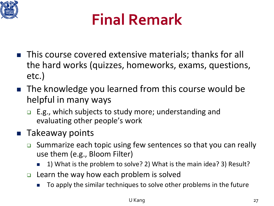

# **Final Remark**

- This course covered extensive materials; thanks for all the hard works (quizzes, homeworks, exams, questions, etc.)
- The knowledge you learned from this course would be helpful in many ways
	- $\Box$  E.g., which subjects to study more; understanding and evaluating other people's work

#### **Takeaway points**

- **□** Summarize each topic using few sentences so that you can really use them (e.g., Bloom Filter)
	- 1) What is the problem to solve? 2) What is the main idea? 3) Result?
- $\Box$  Learn the way how each problem is solved
	- To apply the similar techniques to solve other problems in the future